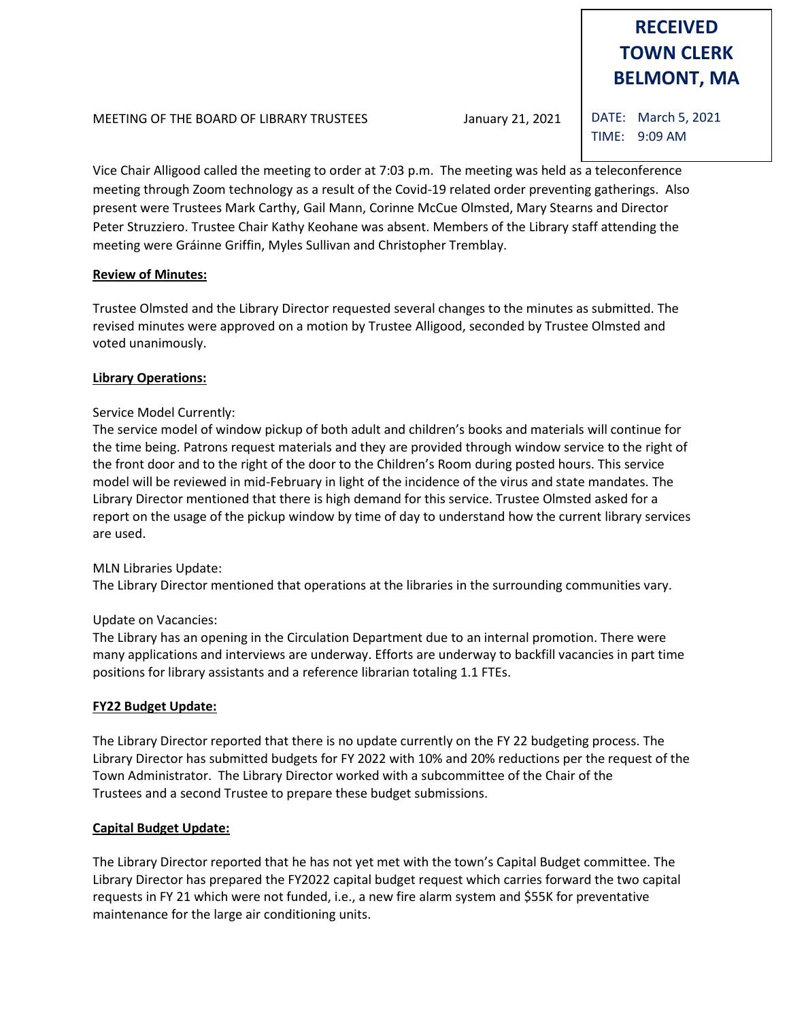# **RECEIVED TOWN CLERK BELMONT, MA**

MEETING OF THE BOARD OF LIBRARY TRUSTEES January 21, 2021

DATE: March 5, 2021 TIME: 9:09 AM

Vice Chair Alligood called the meeting to order at 7:03 p.m. The meeting was held as a teleconference meeting through Zoom technology as a result of the Covid-19 related order preventing gatherings. Also present were Trustees Mark Carthy, Gail Mann, Corinne McCue Olmsted, Mary Stearns and Director Peter Struzziero. Trustee Chair Kathy Keohane was absent. Members of the Library staff attending the meeting were Gráinne Griffin, Myles Sullivan and Christopher Tremblay.

## **Review of Minutes:**

Trustee Olmsted and the Library Director requested several changes to the minutes as submitted. The revised minutes were approved on a motion by Trustee Alligood, seconded by Trustee Olmsted and voted unanimously.

## **Library Operations:**

## Service Model Currently:

The service model of window pickup of both adult and children's books and materials will continue for the time being. Patrons request materials and they are provided through window service to the right of the front door and to the right of the door to the Children's Room during posted hours. This service model will be reviewed in mid-February in light of the incidence of the virus and state mandates. The Library Director mentioned that there is high demand for this service. Trustee Olmsted asked for a report on the usage of the pickup window by time of day to understand how the current library services are used.

## MLN Libraries Update:

The Library Director mentioned that operations at the libraries in the surrounding communities vary.

## Update on Vacancies:

The Library has an opening in the Circulation Department due to an internal promotion. There were many applications and interviews are underway. Efforts are underway to backfill vacancies in part time positions for library assistants and a reference librarian totaling 1.1 FTEs.

## **FY22 Budget Update:**

The Library Director reported that there is no update currently on the FY 22 budgeting process. The Library Director has submitted budgets for FY 2022 with 10% and 20% reductions per the request of the Town Administrator. The Library Director worked with a subcommittee of the Chair of the Trustees and a second Trustee to prepare these budget submissions.

## **Capital Budget Update:**

The Library Director reported that he has not yet met with the town's Capital Budget committee. The Library Director has prepared the FY2022 capital budget request which carries forward the two capital requests in FY 21 which were not funded, i.e., a new fire alarm system and \$55K for preventative maintenance for the large air conditioning units.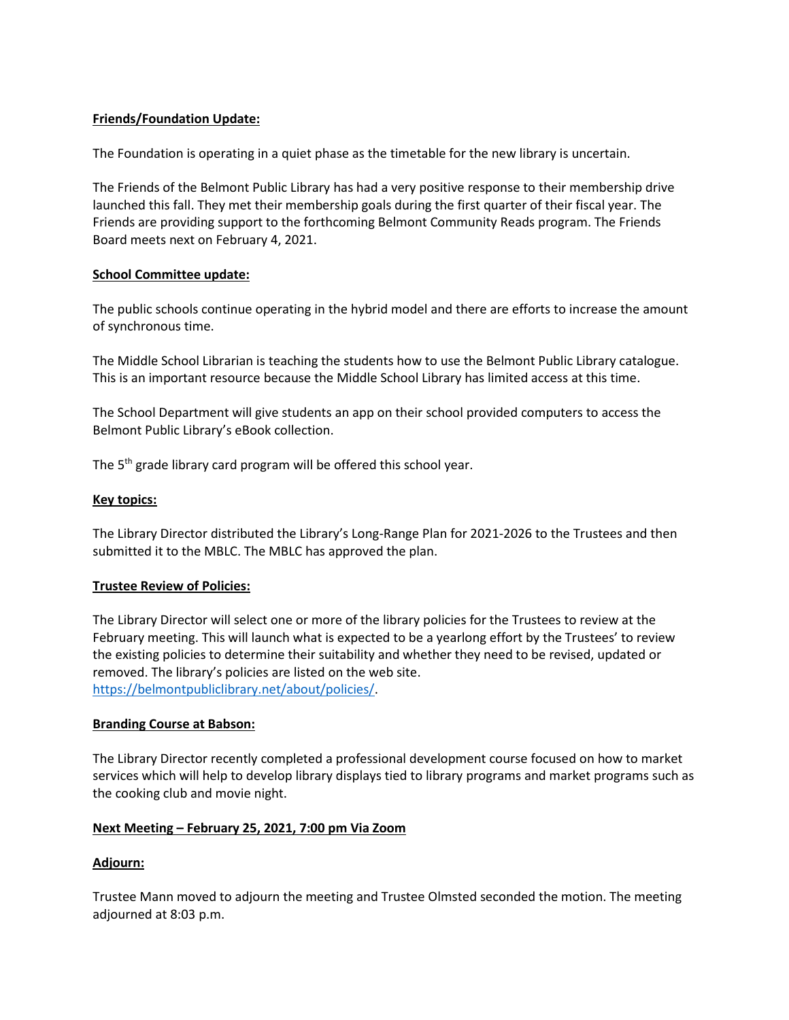## **Friends/Foundation Update:**

The Foundation is operating in a quiet phase as the timetable for the new library is uncertain.

The Friends of the Belmont Public Library has had a very positive response to their membership drive launched this fall. They met their membership goals during the first quarter of their fiscal year. The Friends are providing support to the forthcoming Belmont Community Reads program. The Friends Board meets next on February 4, 2021.

## **School Committee update:**

The public schools continue operating in the hybrid model and there are efforts to increase the amount of synchronous time.

The Middle School Librarian is teaching the students how to use the Belmont Public Library catalogue. This is an important resource because the Middle School Library has limited access at this time.

The School Department will give students an app on their school provided computers to access the Belmont Public Library's eBook collection.

The 5<sup>th</sup> grade library card program will be offered this school year.

## **Key topics:**

The Library Director distributed the Library's Long-Range Plan for 2021-2026 to the Trustees and then submitted it to the MBLC. The MBLC has approved the plan.

## **Trustee Review of Policies:**

The Library Director will select one or more of the library policies for the Trustees to review at the February meeting. This will launch what is expected to be a yearlong effort by the Trustees' to review the existing policies to determine their suitability and whether they need to be revised, updated or removed. The library's policies are listed on the web site. [https://belmontpubliclibrary.net/about/policies/.](https://belmontpubliclibrary.net/about/policies/)

## **Branding Course at Babson:**

The Library Director recently completed a professional development course focused on how to market services which will help to develop library displays tied to library programs and market programs such as the cooking club and movie night.

## **Next Meeting – February 25, 2021, 7:00 pm Via Zoom**

## **Adjourn:**

Trustee Mann moved to adjourn the meeting and Trustee Olmsted seconded the motion. The meeting adjourned at 8:03 p.m.